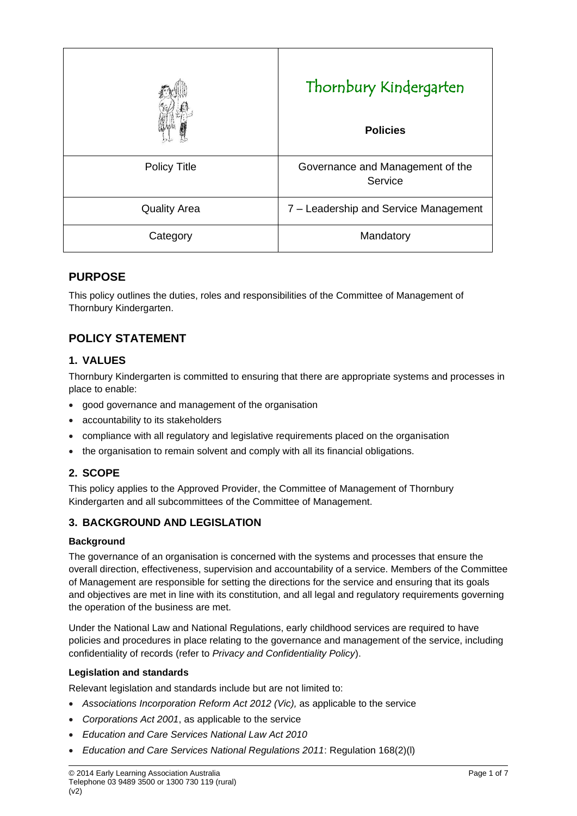|                     | Thornbury Kindergarten<br><b>Policies</b>   |
|---------------------|---------------------------------------------|
| <b>Policy Title</b> | Governance and Management of the<br>Service |
| <b>Quality Area</b> | 7 – Leadership and Service Management       |
| Category            | Mandatory                                   |

# **PURPOSE**

This policy outlines the duties, roles and responsibilities of the Committee of Management of Thornbury Kindergarten.

# **POLICY STATEMENT**

### **1. VALUES**

Thornbury Kindergarten is committed to ensuring that there are appropriate systems and processes in place to enable:

- good governance and management of the organisation
- accountability to its stakeholders
- compliance with all regulatory and legislative requirements placed on the organisation
- the organisation to remain solvent and comply with all its financial obligations.

### **2. SCOPE**

This policy applies to the Approved Provider, the Committee of Management of Thornbury Kindergarten and all subcommittees of the Committee of Management.

### **3. BACKGROUND AND LEGISLATION**

#### **Background**

The governance of an organisation is concerned with the systems and processes that ensure the overall direction, effectiveness, supervision and accountability of a service. Members of the Committee of Management are responsible for setting the directions for the service and ensuring that its goals and objectives are met in line with its constitution, and all legal and regulatory requirements governing the operation of the business are met.

Under the National Law and National Regulations, early childhood services are required to have policies and procedures in place relating to the governance and management of the service, including confidentiality of records (refer to *Privacy and Confidentiality Policy*).

#### **Legislation and standards**

Relevant legislation and standards include but are not limited to:

- *Associations Incorporation Reform Act 2012 (Vic),* as applicable to the service
- *Corporations Act 2001*, as applicable to the service
- *Education and Care Services National Law Act 2010*
- *Education and Care Services National Regulations 2011*: Regulation 168(2)(l)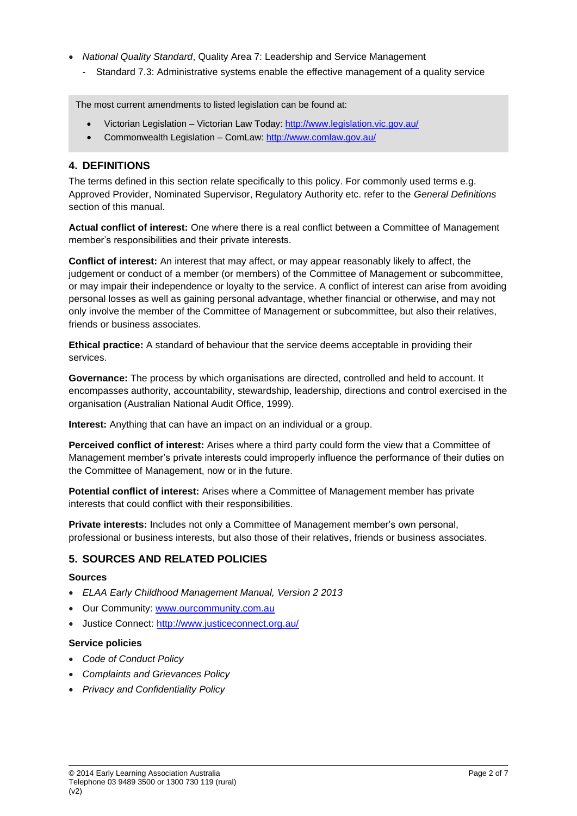- *National Quality Standard*, Quality Area 7: Leadership and Service Management
	- Standard 7.3: Administrative systems enable the effective management of a quality service

The most current amendments to listed legislation can be found at:

- Victorian Legislation Victorian Law Today:<http://www.legislation.vic.gov.au/>
- Commonwealth Legislation ComLaw:<http://www.comlaw.gov.au/>

### **4. DEFINITIONS**

The terms defined in this section relate specifically to this policy. For commonly used terms e.g. Approved Provider, Nominated Supervisor, Regulatory Authority etc. refer to the *General Definitions* section of this manual.

**Actual conflict of interest:** One where there is a real conflict between a Committee of Management member's responsibilities and their private interests.

**Conflict of interest:** An interest that may affect, or may appear reasonably likely to affect, the judgement or conduct of a member (or members) of the Committee of Management or subcommittee, or may impair their independence or loyalty to the service. A conflict of interest can arise from avoiding personal losses as well as gaining personal advantage, whether financial or otherwise, and may not only involve the member of the Committee of Management or subcommittee, but also their relatives, friends or business associates.

**Ethical practice:** A standard of behaviour that the service deems acceptable in providing their services.

**Governance:** The process by which organisations are directed, controlled and held to account. It encompasses authority, accountability, stewardship, leadership, directions and control exercised in the organisation (Australian National Audit Office, 1999).

**Interest:** Anything that can have an impact on an individual or a group.

**Perceived conflict of interest:** Arises where a third party could form the view that a Committee of Management member's private interests could improperly influence the performance of their duties on the Committee of Management, now or in the future.

**Potential conflict of interest:** Arises where a Committee of Management member has private interests that could conflict with their responsibilities.

**Private interests:** Includes not only a Committee of Management member's own personal, professional or business interests, but also those of their relatives, friends or business associates.

### **5. SOURCES AND RELATED POLICIES**

#### **Sources**

- *ELAA Early Childhood Management Manual, Version 2 2013*
- Our Community: [www.ourcommunity.com.au](http://www.ourcommunity.com.au/)
- Justice Connect: <http://www.justiceconnect.org.au/>

#### **Service policies**

- *Code of Conduct Policy*
- *Complaints and Grievances Policy*
- *Privacy and Confidentiality Policy*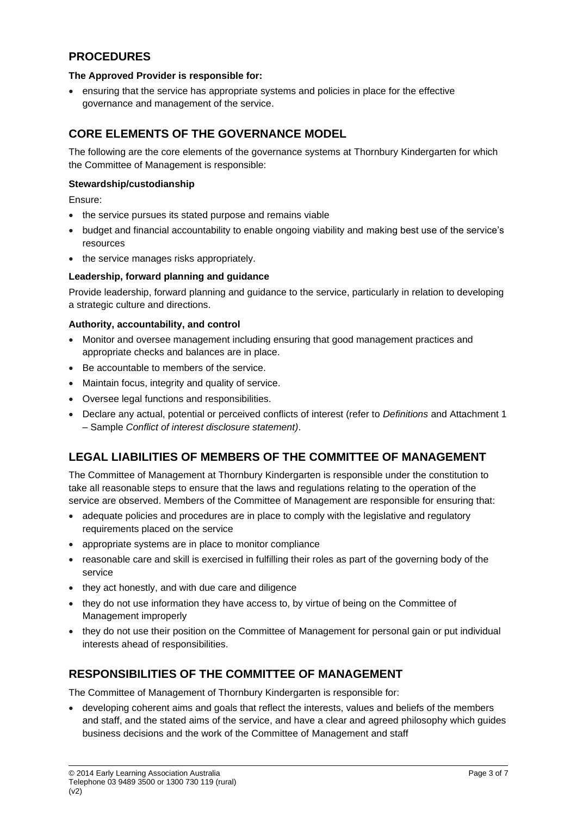# **PROCEDURES**

#### **The Approved Provider is responsible for:**

• ensuring that the service has appropriate systems and policies in place for the effective governance and management of the service.

## **CORE ELEMENTS OF THE GOVERNANCE MODEL**

The following are the core elements of the governance systems at Thornbury Kindergarten for which the Committee of Management is responsible:

#### **Stewardship/custodianship**

Ensure:

- the service pursues its stated purpose and remains viable
- budget and financial accountability to enable ongoing viability and making best use of the service's resources
- the service manages risks appropriately.

#### **Leadership, forward planning and guidance**

Provide leadership, forward planning and guidance to the service, particularly in relation to developing a strategic culture and directions.

#### **Authority, accountability, and control**

- Monitor and oversee management including ensuring that good management practices and appropriate checks and balances are in place.
- Be accountable to members of the service.
- Maintain focus, integrity and quality of service.
- Oversee legal functions and responsibilities.
- Declare any actual, potential or perceived conflicts of interest (refer to *Definitions* and Attachment 1 – Sample *Conflict of interest disclosure statement)*.

# **LEGAL LIABILITIES OF MEMBERS OF THE COMMITTEE OF MANAGEMENT**

The Committee of Management at Thornbury Kindergarten is responsible under the constitution to take all reasonable steps to ensure that the laws and regulations relating to the operation of the service are observed. Members of the Committee of Management are responsible for ensuring that:

- adequate policies and procedures are in place to comply with the legislative and regulatory requirements placed on the service
- appropriate systems are in place to monitor compliance
- reasonable care and skill is exercised in fulfilling their roles as part of the governing body of the service
- they act honestly, and with due care and diligence
- they do not use information they have access to, by virtue of being on the Committee of Management improperly
- they do not use their position on the Committee of Management for personal gain or put individual interests ahead of responsibilities.

# **RESPONSIBILITIES OF THE COMMITTEE OF MANAGEMENT**

The Committee of Management of Thornbury Kindergarten is responsible for:

• developing coherent aims and goals that reflect the interests, values and beliefs of the members and staff, and the stated aims of the service, and have a clear and agreed philosophy which guides business decisions and the work of the Committee of Management and staff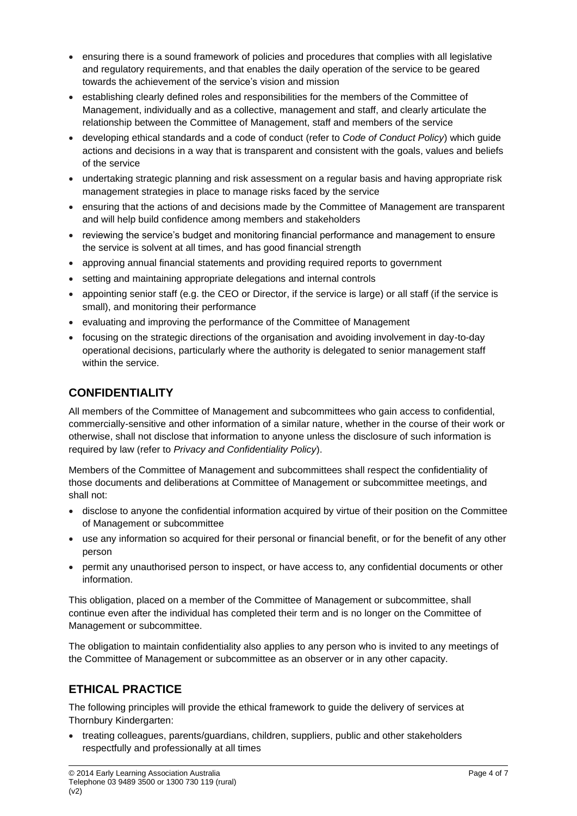- ensuring there is a sound framework of policies and procedures that complies with all legislative and regulatory requirements, and that enables the daily operation of the service to be geared towards the achievement of the service's vision and mission
- establishing clearly defined roles and responsibilities for the members of the Committee of Management, individually and as a collective, management and staff, and clearly articulate the relationship between the Committee of Management, staff and members of the service
- developing ethical standards and a code of conduct (refer to *Code of Conduct Policy*) which guide actions and decisions in a way that is transparent and consistent with the goals, values and beliefs of the service
- undertaking strategic planning and risk assessment on a regular basis and having appropriate risk management strategies in place to manage risks faced by the service
- ensuring that the actions of and decisions made by the Committee of Management are transparent and will help build confidence among members and stakeholders
- reviewing the service's budget and monitoring financial performance and management to ensure the service is solvent at all times, and has good financial strength
- approving annual financial statements and providing required reports to government
- setting and maintaining appropriate delegations and internal controls
- appointing senior staff (e.g. the CEO or Director, if the service is large) or all staff (if the service is small), and monitoring their performance
- evaluating and improving the performance of the Committee of Management
- focusing on the strategic directions of the organisation and avoiding involvement in day-to-day operational decisions, particularly where the authority is delegated to senior management staff within the service.

# **CONFIDENTIALITY**

All members of the Committee of Management and subcommittees who gain access to confidential, commercially-sensitive and other information of a similar nature, whether in the course of their work or otherwise, shall not disclose that information to anyone unless the disclosure of such information is required by law (refer to *Privacy and Confidentiality Policy*).

Members of the Committee of Management and subcommittees shall respect the confidentiality of those documents and deliberations at Committee of Management or subcommittee meetings, and shall not:

- disclose to anyone the confidential information acquired by virtue of their position on the Committee of Management or subcommittee
- use any information so acquired for their personal or financial benefit, or for the benefit of any other person
- permit any unauthorised person to inspect, or have access to, any confidential documents or other information.

This obligation, placed on a member of the Committee of Management or subcommittee, shall continue even after the individual has completed their term and is no longer on the Committee of Management or subcommittee.

The obligation to maintain confidentiality also applies to any person who is invited to any meetings of the Committee of Management or subcommittee as an observer or in any other capacity.

# **ETHICAL PRACTICE**

The following principles will provide the ethical framework to guide the delivery of services at Thornbury Kindergarten:

• treating colleagues, parents/guardians, children, suppliers, public and other stakeholders respectfully and professionally at all times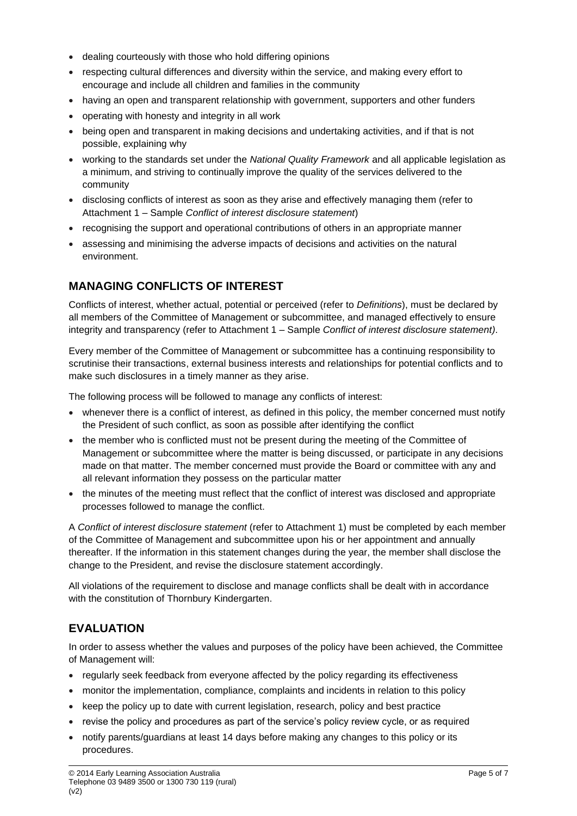- dealing courteously with those who hold differing opinions
- respecting cultural differences and diversity within the service, and making every effort to encourage and include all children and families in the community
- having an open and transparent relationship with government, supporters and other funders
- operating with honesty and integrity in all work
- being open and transparent in making decisions and undertaking activities, and if that is not possible, explaining why
- working to the standards set under the *National Quality Framework* and all applicable legislation as a minimum, and striving to continually improve the quality of the services delivered to the community
- disclosing conflicts of interest as soon as they arise and effectively managing them (refer to Attachment 1 – Sample *Conflict of interest disclosure statement*)
- recognising the support and operational contributions of others in an appropriate manner
- assessing and minimising the adverse impacts of decisions and activities on the natural environment.

# **MANAGING CONFLICTS OF INTEREST**

Conflicts of interest, whether actual, potential or perceived (refer to *Definitions*), must be declared by all members of the Committee of Management or subcommittee, and managed effectively to ensure integrity and transparency (refer to Attachment 1 – Sample *Conflict of interest disclosure statement)*.

Every member of the Committee of Management or subcommittee has a continuing responsibility to scrutinise their transactions, external business interests and relationships for potential conflicts and to make such disclosures in a timely manner as they arise.

The following process will be followed to manage any conflicts of interest:

- whenever there is a conflict of interest, as defined in this policy, the member concerned must notify the President of such conflict, as soon as possible after identifying the conflict
- the member who is conflicted must not be present during the meeting of the Committee of Management or subcommittee where the matter is being discussed, or participate in any decisions made on that matter. The member concerned must provide the Board or committee with any and all relevant information they possess on the particular matter
- the minutes of the meeting must reflect that the conflict of interest was disclosed and appropriate processes followed to manage the conflict.

A *Conflict of interest disclosure statement* (refer to Attachment 1) must be completed by each member of the Committee of Management and subcommittee upon his or her appointment and annually thereafter. If the information in this statement changes during the year, the member shall disclose the change to the President, and revise the disclosure statement accordingly.

All violations of the requirement to disclose and manage conflicts shall be dealt with in accordance with the constitution of Thornbury Kindergarten.

# **EVALUATION**

In order to assess whether the values and purposes of the policy have been achieved, the Committee of Management will:

- regularly seek feedback from everyone affected by the policy regarding its effectiveness
- monitor the implementation, compliance, complaints and incidents in relation to this policy
- keep the policy up to date with current legislation, research, policy and best practice
- revise the policy and procedures as part of the service's policy review cycle, or as required
- notify parents/guardians at least 14 days before making any changes to this policy or its procedures.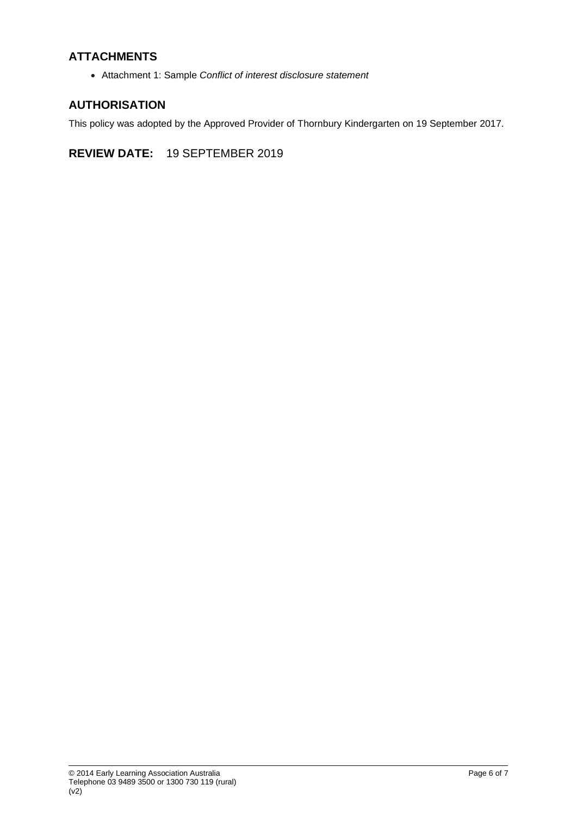# **ATTACHMENTS**

• Attachment 1: Sample *Conflict of interest disclosure statement*

## **AUTHORISATION**

This policy was adopted by the Approved Provider of Thornbury Kindergarten on 19 September 2017.

**REVIEW DATE:** 19 SEPTEMBER 2019